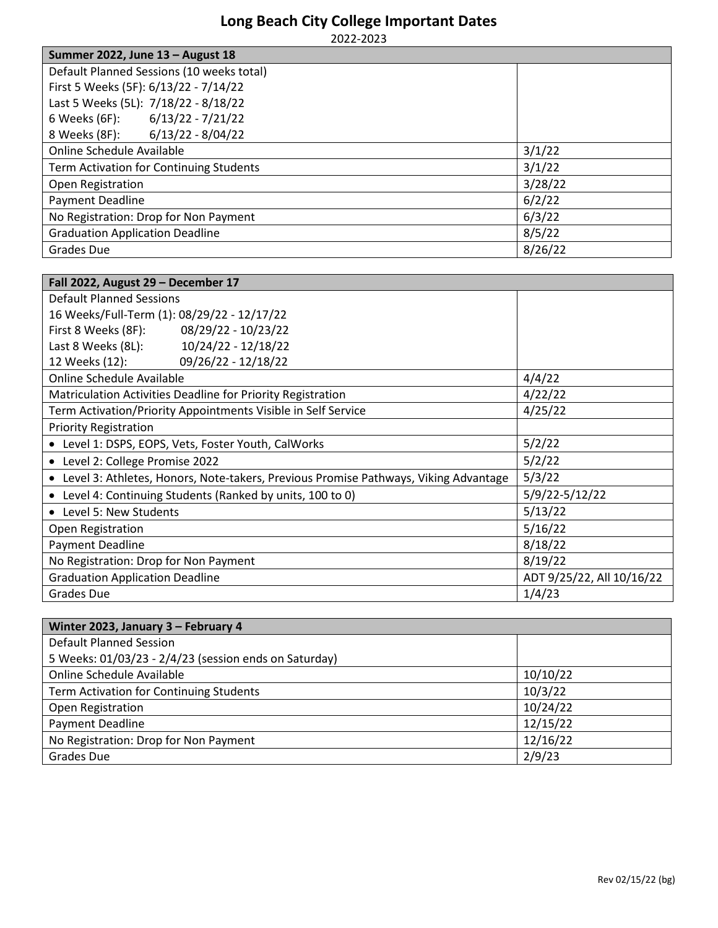## **Long Beach City College Important Dates**

2022-2023

| Summer 2022, June 13 - August 18          |         |
|-------------------------------------------|---------|
| Default Planned Sessions (10 weeks total) |         |
| First 5 Weeks (5F): 6/13/22 - 7/14/22     |         |
| Last 5 Weeks (5L): 7/18/22 - 8/18/22      |         |
| 6 Weeks (6F): 6/13/22 - 7/21/22           |         |
| 8 Weeks (8F): 6/13/22 - 8/04/22           |         |
| Online Schedule Available                 | 3/1/22  |
| Term Activation for Continuing Students   | 3/1/22  |
| Open Registration                         | 3/28/22 |
| <b>Payment Deadline</b>                   | 6/2/22  |
| No Registration: Drop for Non Payment     | 6/3/22  |
| <b>Graduation Application Deadline</b>    | 8/5/22  |
| Grades Due                                | 8/26/22 |

| Fall 2022, August 29 - December 17                                                    |                           |  |
|---------------------------------------------------------------------------------------|---------------------------|--|
| <b>Default Planned Sessions</b>                                                       |                           |  |
| 16 Weeks/Full-Term (1): 08/29/22 - 12/17/22                                           |                           |  |
| First 8 Weeks (8F): 08/29/22 - 10/23/22                                               |                           |  |
| Last 8 Weeks (8L): 10/24/22 - 12/18/22                                                |                           |  |
| 09/26/22 - 12/18/22<br>12 Weeks (12):                                                 |                           |  |
| Online Schedule Available                                                             | 4/4/22                    |  |
| Matriculation Activities Deadline for Priority Registration                           | 4/22/22                   |  |
| Term Activation/Priority Appointments Visible in Self Service                         | 4/25/22                   |  |
| <b>Priority Registration</b>                                                          |                           |  |
| • Level 1: DSPS, EOPS, Vets, Foster Youth, CalWorks                                   | 5/2/22                    |  |
| • Level 2: College Promise 2022                                                       | 5/2/22                    |  |
| • Level 3: Athletes, Honors, Note-takers, Previous Promise Pathways, Viking Advantage | 5/3/22                    |  |
| • Level 4: Continuing Students (Ranked by units, 100 to 0)                            | 5/9/22-5/12/22            |  |
| • Level 5: New Students                                                               | 5/13/22                   |  |
| Open Registration                                                                     | 5/16/22                   |  |
| Payment Deadline                                                                      | 8/18/22                   |  |
| No Registration: Drop for Non Payment                                                 | 8/19/22                   |  |
| <b>Graduation Application Deadline</b>                                                | ADT 9/25/22, All 10/16/22 |  |
| <b>Grades Due</b>                                                                     | 1/4/23                    |  |

| Winter 2023, January 3 - February 4                   |          |
|-------------------------------------------------------|----------|
| <b>Default Planned Session</b>                        |          |
| 5 Weeks: 01/03/23 - 2/4/23 (session ends on Saturday) |          |
| Online Schedule Available                             | 10/10/22 |
| Term Activation for Continuing Students               | 10/3/22  |
| Open Registration                                     | 10/24/22 |
| <b>Payment Deadline</b>                               | 12/15/22 |
| No Registration: Drop for Non Payment                 | 12/16/22 |
| Grades Due                                            | 2/9/23   |